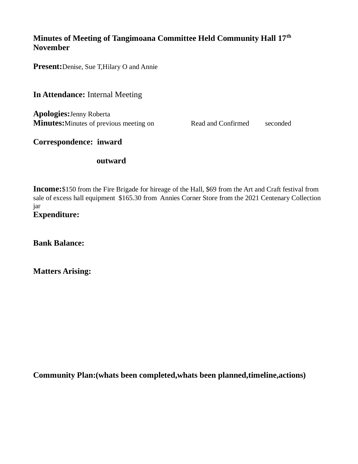# **Minutes of Meeting of Tangimoana Committee Held Community Hall 17th November**

**Present:**Denise, Sue T,Hilary O and Annie

**In Attendance:** Internal Meeting

**Apologies:**Jenny Roberta **Minutes:** Minutes of previous meeting on Read and Confirmed seconded

**Correspondence: inward**

#### **outward**

**Income:**\$150 from the Fire Brigade for hireage of the Hall, \$69 from the Art and Craft festival from sale of excess hall equipment \$165.30 from Annies Corner Store from the 2021 Centenary Collection jar **Expenditure:**

**Bank Balance:**

**Matters Arising:**

**Community Plan:(whats been completed,whats been planned,timeline,actions)**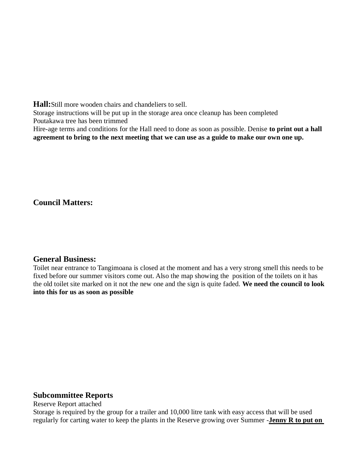**Hall:**Still more wooden chairs and chandeliers to sell. Storage instructions will be put up in the storage area once cleanup has been completed Poutakawa tree has been trimmed Hire-age terms and conditions for the Hall need to done as soon as possible. Denise **to print out a hall agreement to bring to the next meeting that we can use as a guide to make our own one up.**

**Council Matters:**

## **General Business:**

Toilet near entrance to Tangimoana is closed at the moment and has a very strong smell this needs to be fixed before our summer visitors come out. Also the map showing the position of the toilets on it has the old toilet site marked on it not the new one and the sign is quite faded. **We need the council to look into this for us as soon as possible**

#### **Subcommittee Reports**

Reserve Report attached

Storage is required by the group for a trailer and 10,000 litre tank with easy access that will be used regularly for carting water to keep the plants in the Reserve growing over Summer -**Jenny R to put on**